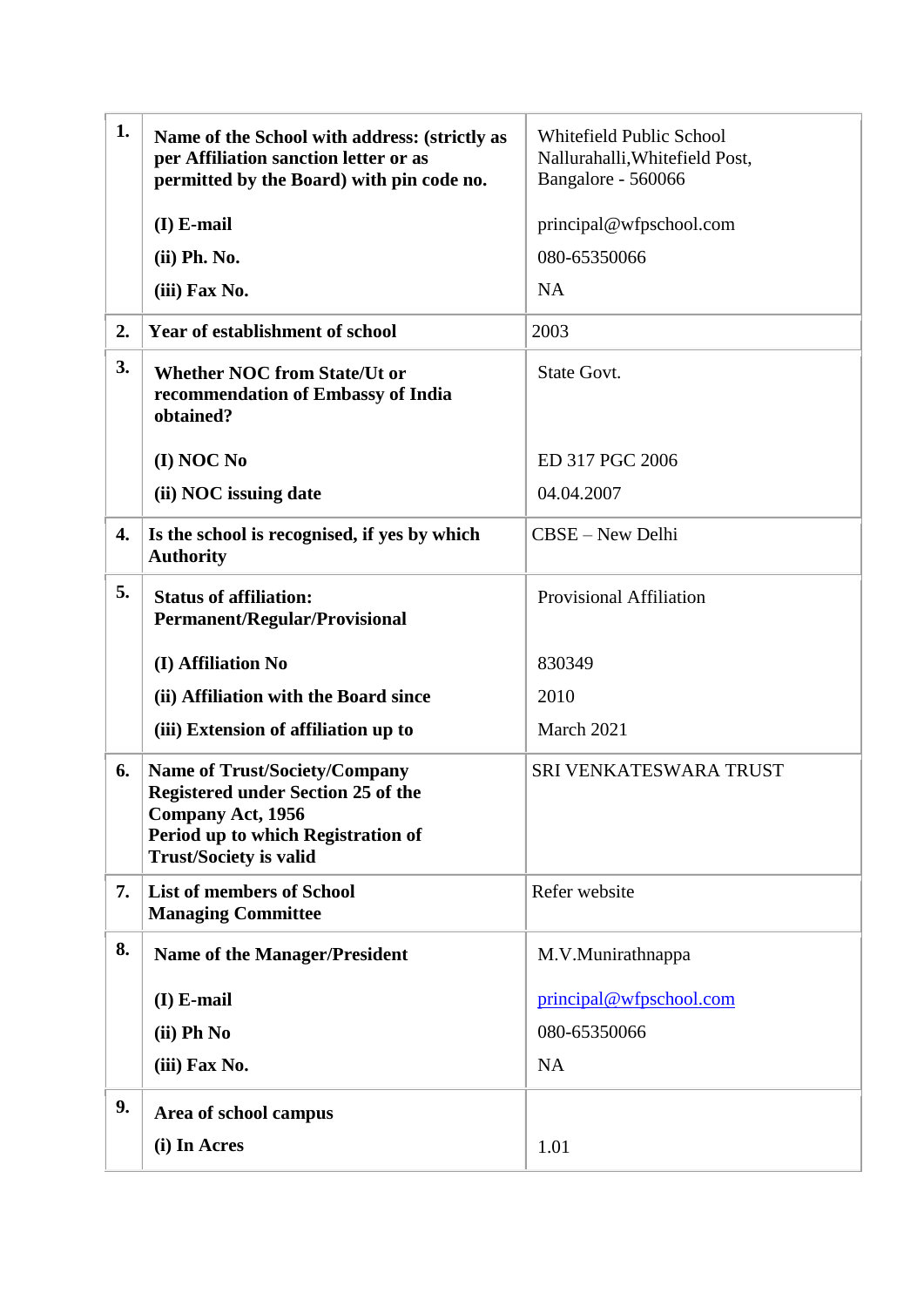| 1. | Name of the School with address: (strictly as<br>per Affiliation sanction letter or as<br>permitted by the Board) with pin code no.                                           | <b>Whitefield Public School</b><br>Nallurahalli, Whitefield Post,<br>Bangalore - 560066 |
|----|-------------------------------------------------------------------------------------------------------------------------------------------------------------------------------|-----------------------------------------------------------------------------------------|
|    | $(I)$ E-mail                                                                                                                                                                  | principal@wfpschool.com                                                                 |
|    | (ii) Ph. No.                                                                                                                                                                  | 080-65350066                                                                            |
|    | (iii) Fax No.                                                                                                                                                                 | <b>NA</b>                                                                               |
| 2. | <b>Year of establishment of school</b>                                                                                                                                        | 2003                                                                                    |
| 3. | <b>Whether NOC from State/Ut or</b><br>recommendation of Embassy of India<br>obtained?                                                                                        | State Govt.                                                                             |
|    | (I) NOC No                                                                                                                                                                    | ED 317 PGC 2006                                                                         |
|    | (ii) NOC issuing date                                                                                                                                                         | 04.04.2007                                                                              |
| 4. | Is the school is recognised, if yes by which<br><b>Authority</b>                                                                                                              | CBSE - New Delhi                                                                        |
| 5. | <b>Status of affiliation:</b><br><b>Permanent/Regular/Provisional</b>                                                                                                         | <b>Provisional Affiliation</b>                                                          |
|    | (I) Affiliation No                                                                                                                                                            | 830349                                                                                  |
|    | (ii) Affiliation with the Board since                                                                                                                                         | 2010                                                                                    |
|    | (iii) Extension of affiliation up to                                                                                                                                          | March 2021                                                                              |
| 6. | <b>Name of Trust/Society/Company</b><br><b>Registered under Section 25 of the</b><br>Company Act, 1956<br>Period up to which Registration of<br><b>Trust/Society is valid</b> | SRI VENKATESWARA TRUST                                                                  |
| 7. | <b>List of members of School</b><br><b>Managing Committee</b>                                                                                                                 | Refer website                                                                           |
| 8. | <b>Name of the Manager/President</b>                                                                                                                                          | M.V.Munirathnappa                                                                       |
|    | $(I)$ E-mail                                                                                                                                                                  | principal@wfpschool.com                                                                 |
|    | (ii) Ph No                                                                                                                                                                    | 080-65350066                                                                            |
|    | (iii) Fax No.                                                                                                                                                                 | NA                                                                                      |
| 9. | Area of school campus                                                                                                                                                         |                                                                                         |
|    | (i) In Acres                                                                                                                                                                  | 1.01                                                                                    |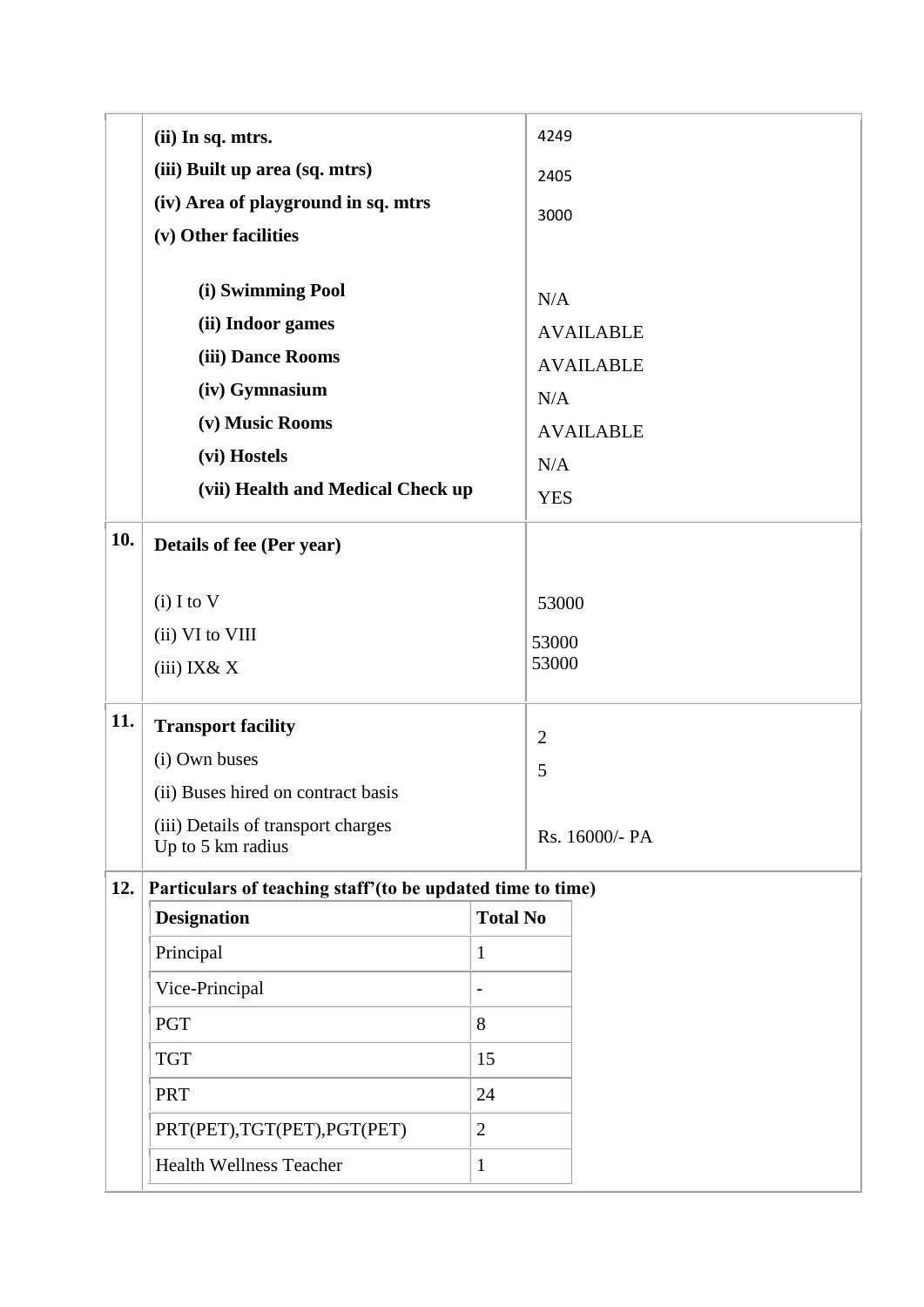|     | (ii) In sq. mtrs.                                           |                 | 4249  |                         |  |
|-----|-------------------------------------------------------------|-----------------|-------|-------------------------|--|
|     | (iii) Built up area (sq. mtrs)                              |                 | 2405  |                         |  |
|     | (iv) Area of playground in sq. mtrs                         |                 | 3000  |                         |  |
|     | (v) Other facilities                                        |                 |       |                         |  |
|     |                                                             |                 |       |                         |  |
|     | (i) Swimming Pool                                           |                 | N/A   |                         |  |
|     | (ii) Indoor games                                           |                 |       | <b>AVAILABLE</b>        |  |
|     | (iii) Dance Rooms                                           |                 |       | <b>AVAILABLE</b>        |  |
|     | (iv) Gymnasium                                              |                 |       | N/A                     |  |
|     | (v) Music Rooms                                             |                 |       | <b>AVAILABLE</b><br>N/A |  |
|     | (vi) Hostels                                                |                 |       |                         |  |
|     | (vii) Health and Medical Check up                           |                 |       | <b>YES</b>              |  |
| 10. | Details of fee (Per year)                                   |                 |       |                         |  |
|     | $(i)$ I to V                                                |                 | 53000 |                         |  |
|     | (ii) VI to VIII                                             |                 |       | 53000                   |  |
|     | $(iii)$ IX& X                                               |                 | 53000 |                         |  |
| 11. | <b>Transport facility</b>                                   |                 |       |                         |  |
|     | (i) Own buses                                               |                 |       | $\mathbf{2}$<br>5       |  |
|     | (ii) Buses hired on contract basis                          |                 |       |                         |  |
|     | (iii) Details of transport charges<br>Up to 5 km radius     |                 |       | Rs. 16000/- PA          |  |
| 12. | Particulars of teaching staff' (to be updated time to time) |                 |       |                         |  |
|     | <b>Designation</b>                                          | <b>Total No</b> |       |                         |  |
|     | Principal                                                   | 1               |       |                         |  |
|     | Vice-Principal                                              | -               |       |                         |  |
|     | <b>PGT</b>                                                  | 8               |       |                         |  |
|     | <b>TGT</b>                                                  | 15              |       |                         |  |
|     | <b>PRT</b><br>24                                            |                 |       |                         |  |
|     | PRT(PET), TGT(PET), PGT(PET)<br>$\overline{2}$              |                 |       |                         |  |
|     | <b>Health Wellness Teacher</b><br>$\mathbf{1}$              |                 |       |                         |  |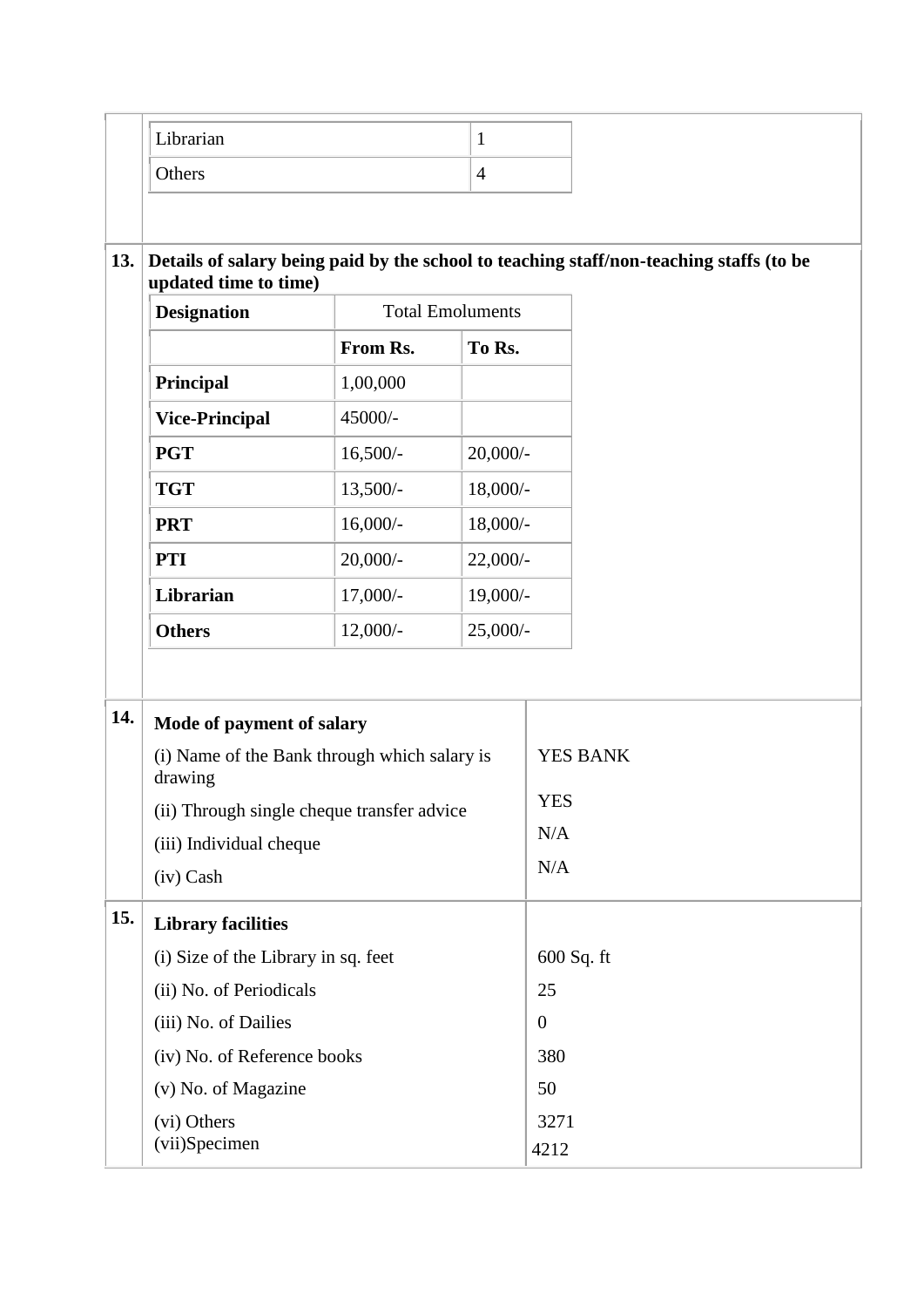|     | Librarian                                                                                                        |                             | $\mathbf{1}$                                                        |                  |  |
|-----|------------------------------------------------------------------------------------------------------------------|-----------------------------|---------------------------------------------------------------------|------------------|--|
|     | Others                                                                                                           |                             | $\overline{4}$                                                      |                  |  |
|     |                                                                                                                  |                             |                                                                     |                  |  |
| 13. | Details of salary being paid by the school to teaching staff/non-teaching staffs (to be<br>updated time to time) |                             |                                                                     |                  |  |
|     | <b>Designation</b>                                                                                               | <b>Total Emoluments</b>     |                                                                     |                  |  |
|     |                                                                                                                  | From Rs.                    | To Rs.                                                              |                  |  |
|     | Principal                                                                                                        | 1,00,000                    |                                                                     |                  |  |
|     | <b>Vice-Principal</b>                                                                                            | 45000/-                     |                                                                     |                  |  |
|     | <b>PGT</b>                                                                                                       | $16,500/-$                  | $20,000/$ -<br>$18,000/-$<br>$18,000/-$<br>$22,000/-$<br>$19,000/-$ |                  |  |
|     | <b>TGT</b>                                                                                                       | $13,500/-$                  |                                                                     |                  |  |
|     | <b>PRT</b>                                                                                                       | $16,000/-$                  |                                                                     |                  |  |
|     | <b>PTI</b>                                                                                                       | $20,000/-$                  |                                                                     |                  |  |
|     | Librarian                                                                                                        | $17,000/-$                  |                                                                     |                  |  |
|     | <b>Others</b>                                                                                                    | $12,000/-$                  | $25,000/$ -                                                         |                  |  |
|     |                                                                                                                  |                             |                                                                     |                  |  |
| 14. | Mode of payment of salary                                                                                        |                             |                                                                     |                  |  |
|     | (i) Name of the Bank through which salary is<br>drawing                                                          |                             |                                                                     | <b>YES BANK</b>  |  |
|     | (ii) Through single cheque transfer advice                                                                       |                             |                                                                     | <b>YES</b>       |  |
|     | (iii) Individual cheque                                                                                          |                             |                                                                     | N/A              |  |
|     | (iv) Cash                                                                                                        |                             |                                                                     | N/A              |  |
| 15. | <b>Library facilities</b>                                                                                        |                             |                                                                     |                  |  |
|     | (i) Size of the Library in sq. feet                                                                              |                             |                                                                     | 600 Sq. ft       |  |
|     | (ii) No. of Periodicals                                                                                          |                             |                                                                     | 25               |  |
|     | (iii) No. of Dailies                                                                                             |                             |                                                                     | $\boldsymbol{0}$ |  |
|     |                                                                                                                  | (iv) No. of Reference books |                                                                     | 380              |  |
|     | (v) No. of Magazine                                                                                              |                             |                                                                     | 50               |  |
|     | (vi) Others                                                                                                      |                             |                                                                     | 3271             |  |
|     | (vii)Specimen                                                                                                    |                             |                                                                     | 4212             |  |